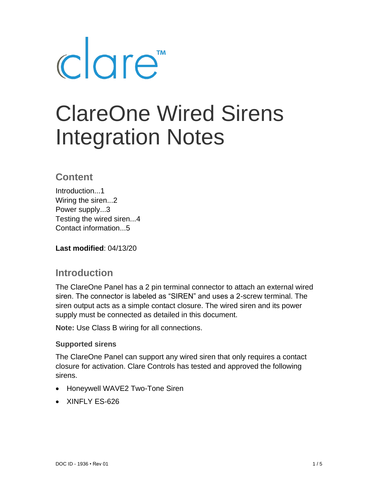

# ClareOne Wired Sirens Integration Notes

## **Content**

Introduction...1 Wiring the siren...2 Power supply...3 Testing the wired siren...4 Contact information...5

**Last modified**: 04/13/20

## **Introduction**

The ClareOne Panel has a 2 pin terminal connector to attach an external wired siren. The connector is labeled as "SIREN" and uses a 2-screw terminal. The siren output acts as a simple contact closure. The wired siren and its power supply must be connected as detailed in this document.

**Note:** Use Class B wiring for all connections.

#### **Supported sirens**

The ClareOne Panel can support any wired siren that only requires a contact closure for activation. Clare Controls has tested and approved the following sirens.

- Honeywell WAVE2 Two-Tone Siren
- XINFLY FS-626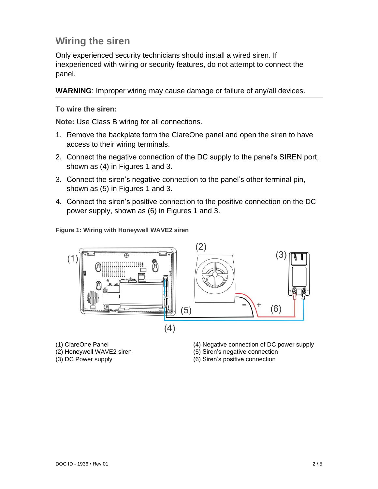# **Wiring the siren**

Only experienced security technicians should install a wired siren. If inexperienced with wiring or security features, do not attempt to connect the panel.

**WARNING**: Improper wiring may cause damage or failure of any/all devices.

#### **To wire the siren:**

**Note:** Use Class B wiring for all connections.

- 1. Remove the backplate form the ClareOne panel and open the siren to have access to their wiring terminals.
- 2. Connect the negative connection of the DC supply to the panel's SIREN port, shown as (4) in Figures 1 and 3.
- 3. Connect the siren's negative connection to the panel's other terminal pin, shown as (5) in Figures 1 and 3.
- 4. Connect the siren's positive connection to the positive connection on the DC power supply, shown as (6) in Figures 1 and 3.

#### **Figure 1: Wiring with Honeywell WAVE2 siren**



- (1) ClareOne Panel
- (2) Honeywell WAVE2 siren
- (3) DC Power supply
- (4) Negative connection of DC power supply
- (5) Siren's negative connection
- (6) Siren's positive connection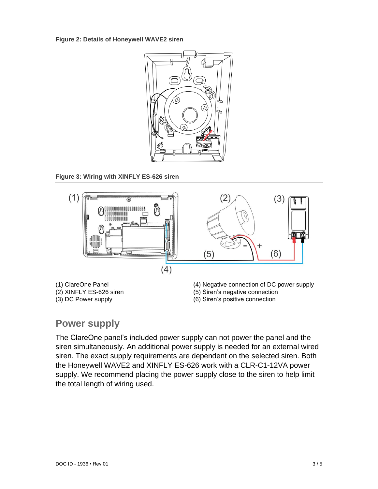

**Figure 3: Wiring with XINFLY ES-626 siren**



## **Power supply**

The ClareOne panel's included power supply can not power the panel and the siren simultaneously. An additional power supply is needed for an external wired siren. The exact supply requirements are dependent on the selected siren. Both the Honeywell WAVE2 and XINFLY ES-626 work with a CLR-C1-12VA power supply. We recommend placing the power supply close to the siren to help limit the total length of wiring used.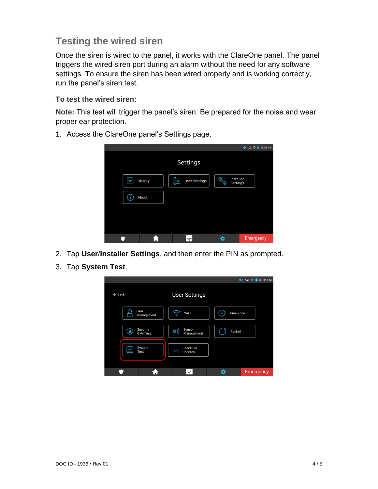# **Testing the wired siren**

Once the siren is wired to the panel, it works with the ClareOne panel. The panel triggers the wired siren port during an alarm without the need for any software settings. To ensure the siren has been wired properly and is working correctly, run the panel's siren test.

#### **To test the wired siren:**

**Note:** This test will trigger the panel's siren. Be prepared for the noise and wear proper ear protection.

- $\blacklozenge$  and  $\heartsuit$  **n** 09:53 am **Settings** 양 Installer<br>Settings **// Display User Settings** (i) About  $\blacktriangleright$ ø.  $\bullet$ 合 Emergency
- 1. Access the ClareOne panel's Settings page.

- 2. Tap **User**/**Installer Settings**, and then enter the PIN as prompted.
- 3. Tap **System Test**.